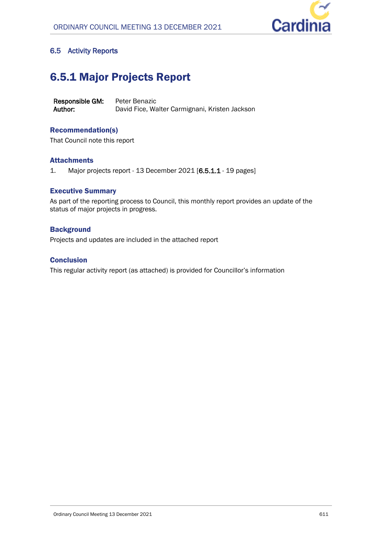

## **6.5 Activity Reports**

# 6.5.1 Major Projects Report

**Responsible GM:** Peter Benazic **Author:** David Fice, Walter Carmignani, Kristen Jackson

## Recommendation(s)

That Council note this report

## **Attachments**

1. Major projects report - 13 December 2021 [**6.5.1.1** - 19 pages]

## Executive Summary

As part of the reporting process to Council, this monthly report provides an update of the status of major projects in progress.

## **Background**

Projects and updates are included in the attached report

## **Conclusion**

This regular activity report (as attached) is provided for Councillor's information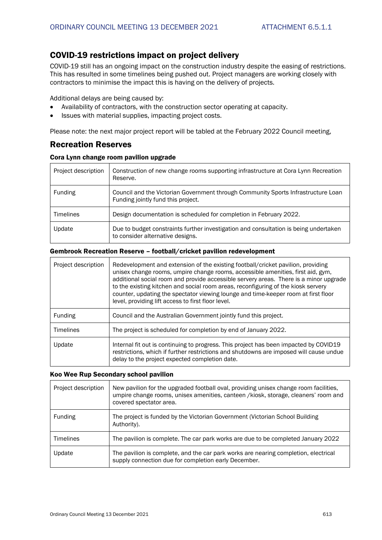## COVID-19 restrictions impact on project delivery

COVID-19 still has an ongoing impact on the construction industry despite the easing of restrictions. This has resulted in some timelines being pushed out. Project managers are working closely with contractors to minimise the impact this is having on the delivery of projects.

Additional delays are being caused by:

- Availability of contractors, with the construction sector operating at capacity.
- Issues with material supplies, impacting project costs.

Please note: the next major project report will be tabled at the February 2022 Council meeting,

## Recreation Reserves

#### Cora Lynn change room pavilion upgrade

| Project description | Construction of new change rooms supporting infrastructure at Cora Lynn Recreation<br>Reserve.                           |
|---------------------|--------------------------------------------------------------------------------------------------------------------------|
| Funding             | Council and the Victorian Government through Community Sports Infrastructure Loan<br>Funding jointly fund this project.  |
| <b>Timelines</b>    | Design documentation is scheduled for completion in February 2022.                                                       |
| Update              | Due to budget constraints further investigation and consultation is being undertaken<br>to consider alternative designs. |

### Gembrook Recreation Reserve – football/cricket pavilion redevelopment

| Project description | Redevelopment and extension of the existing football/cricket pavilion, providing<br>unisex change rooms, umpire change rooms, accessible amenities, first aid, gym,<br>additional social room and provide accessible servery areas. There is a minor upgrade<br>to the existing kitchen and social room areas, reconfiguring of the kiosk servery<br>counter, updating the spectator viewing lounge and time-keeper room at first floor<br>level, providing lift access to first floor level. |
|---------------------|-----------------------------------------------------------------------------------------------------------------------------------------------------------------------------------------------------------------------------------------------------------------------------------------------------------------------------------------------------------------------------------------------------------------------------------------------------------------------------------------------|
| Funding             | Council and the Australian Government jointly fund this project.                                                                                                                                                                                                                                                                                                                                                                                                                              |
| <b>Timelines</b>    | The project is scheduled for completion by end of January 2022.                                                                                                                                                                                                                                                                                                                                                                                                                               |
| Update              | Internal fit out is continuing to progress. This project has been impacted by COVID19<br>restrictions, which if further restrictions and shutdowns are imposed will cause undue<br>delay to the project expected completion date.                                                                                                                                                                                                                                                             |

#### Koo Wee Rup Secondary school pavilion

| Project description | New pavilion for the upgraded football oval, providing unisex change room facilities,<br>umpire change rooms, unisex amenities, canteen /kiosk, storage, cleaners' room and<br>covered spectator area. |
|---------------------|--------------------------------------------------------------------------------------------------------------------------------------------------------------------------------------------------------|
| Funding             | The project is funded by the Victorian Government (Victorian School Building<br>Authority).                                                                                                            |
| <b>Timelines</b>    | The pavilion is complete. The car park works are due to be completed January 2022                                                                                                                      |
| Update              | The pavilion is complete, and the car park works are nearing completion, electrical<br>supply connection due for completion early December.                                                            |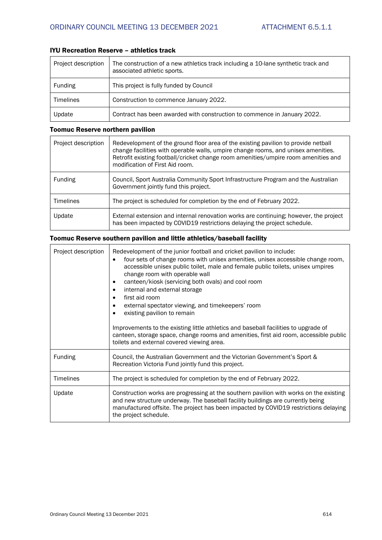## IYU Recreation Reserve – athletics track

| Project description | The construction of a new athletics track including a 10-lane synthetic track and<br>associated athletic sports. |
|---------------------|------------------------------------------------------------------------------------------------------------------|
| Funding             | This project is fully funded by Council                                                                          |
| <b>Timelines</b>    | Construction to commence January 2022.                                                                           |
| Update              | Contract has been awarded with construction to commence in January 2022.                                         |

## Toomuc Reserve northern pavilion

| Project description | Redevelopment of the ground floor area of the existing pavilion to provide netball<br>change facilities with operable walls, umpire change rooms, and unisex amenities.<br>Retrofit existing football/cricket change room amenities/umpire room amenities and<br>modification of First Aid room. |
|---------------------|--------------------------------------------------------------------------------------------------------------------------------------------------------------------------------------------------------------------------------------------------------------------------------------------------|
| Funding             | Council, Sport Australia Community Sport Infrastructure Program and the Australian<br>Government jointly fund this project.                                                                                                                                                                      |
| <b>Timelines</b>    | The project is scheduled for completion by the end of February 2022.                                                                                                                                                                                                                             |
| Update              | External extension and internal renovation works are continuing; however, the project<br>has been impacted by COVID19 restrictions delaying the project schedule.                                                                                                                                |

## Toomuc Reserve southern pavilion and little athletics/baseball facility

| Project description | Redevelopment of the junior football and cricket pavilion to include:<br>four sets of change rooms with unisex amenities, unisex accessible change room,<br>$\bullet$<br>accessible unisex public toilet, male and female public toilets, unisex umpires<br>change room with operable wall<br>canteen/kiosk (servicing both ovals) and cool room<br>٠<br>internal and external storage<br>٠<br>first aid room<br>external spectator viewing, and timekeepers' room<br>existing pavilion to remain<br>Improvements to the existing little athletics and baseball facilities to upgrade of<br>canteen, storage space, change rooms and amenities, first aid room, accessible public<br>toilets and external covered viewing area. |
|---------------------|---------------------------------------------------------------------------------------------------------------------------------------------------------------------------------------------------------------------------------------------------------------------------------------------------------------------------------------------------------------------------------------------------------------------------------------------------------------------------------------------------------------------------------------------------------------------------------------------------------------------------------------------------------------------------------------------------------------------------------|
| <b>Funding</b>      | Council, the Australian Government and the Victorian Government's Sport &<br>Recreation Victoria Fund jointly fund this project.                                                                                                                                                                                                                                                                                                                                                                                                                                                                                                                                                                                                |
| <b>Timelines</b>    | The project is scheduled for completion by the end of February 2022.                                                                                                                                                                                                                                                                                                                                                                                                                                                                                                                                                                                                                                                            |
| Update              | Construction works are progressing at the southern pavilion with works on the existing<br>and new structure underway. The baseball facility buildings are currently being<br>manufactured offsite. The project has been impacted by COVID19 restrictions delaying<br>the project schedule.                                                                                                                                                                                                                                                                                                                                                                                                                                      |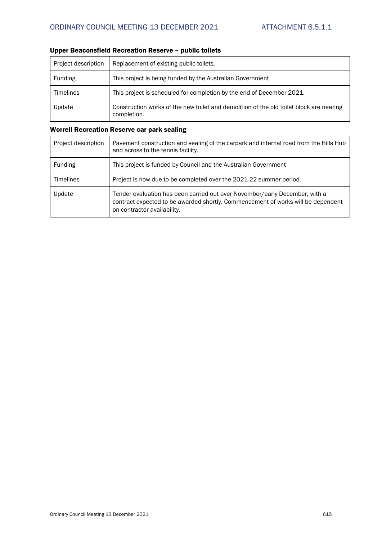| Project description | Replacement of existing public toilets.                                                                |
|---------------------|--------------------------------------------------------------------------------------------------------|
| <b>Funding</b>      | This project is being funded by the Australian Government                                              |
| <b>Timelines</b>    | This project is scheduled for completion by the end of December 2021.                                  |
| Update              | Construction works of the new toilet and demolition of the old toilet block are nearing<br>completion. |

## Upper Beaconsfield Recreation Reserve – public toilets

## Worrell Recreation Reserve car park sealing

| Project description | Pavement construction and sealing of the carpark and internal road from the Hills Hub<br>and across to the tennis facility.                                                                    |
|---------------------|------------------------------------------------------------------------------------------------------------------------------------------------------------------------------------------------|
| Funding             | This project is funded by Council and the Australian Government                                                                                                                                |
| <b>Timelines</b>    | Project is now due to be completed over the 2021-22 summer period.                                                                                                                             |
| Update              | Tender evaluation has been carried out over November/early December, with a<br>contract expected to be awarded shortly. Commencement of works will be dependent<br>on contractor availability. |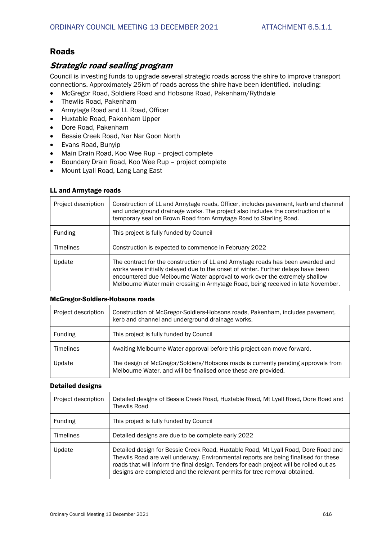## Roads

## *Strategic road sealing program*

Council is investing funds to upgrade several strategic roads across the shire to improve transport connections. Approximately 25km of roads across the shire have been identified. including:

- McGregor Road, Soldiers Road and Hobsons Road, Pakenham/Rythdale
- Thewlis Road, Pakenham
- Armytage Road and LL Road, Officer
- Huxtable Road, Pakenham Upper
- Dore Road, Pakenham
- Bessie Creek Road, Nar Nar Goon North
- Evans Road, Bunyip
- Main Drain Road, Koo Wee Rup project complete
- Boundary Drain Road, Koo Wee Rup project complete
- Mount Lyall Road, Lang Lang East

#### LL and Armytage roads

| Project description | Construction of LL and Armytage roads, Officer, includes pavement, kerb and channel<br>and underground drainage works. The project also includes the construction of a<br>temporary seal on Brown Road from Armytage Road to Starling Road.                                                                                             |
|---------------------|-----------------------------------------------------------------------------------------------------------------------------------------------------------------------------------------------------------------------------------------------------------------------------------------------------------------------------------------|
| Funding             | This project is fully funded by Council                                                                                                                                                                                                                                                                                                 |
| <b>Timelines</b>    | Construction is expected to commence in February 2022                                                                                                                                                                                                                                                                                   |
| Update              | The contract for the construction of LL and Armytage roads has been awarded and<br>works were initially delayed due to the onset of winter. Further delays have been<br>encountered due Melbourne Water approval to work over the extremely shallow<br>Melbourne Water main crossing in Armytage Road, being received in late November. |

#### McGregor-Soldiers-Hobsons roads

| Project description | Construction of McGregor-Soldiers-Hobsons roads, Pakenham, includes pavement,<br>kerb and channel and underground drainage works.                    |
|---------------------|------------------------------------------------------------------------------------------------------------------------------------------------------|
| Funding             | This project is fully funded by Council                                                                                                              |
| <b>Timelines</b>    | Awaiting Melbourne Water approval before this project can move forward.                                                                              |
| Update              | The design of McGregor/Soldiers/Hobsons roads is currently pending approvals from<br>Melbourne Water, and will be finalised once these are provided. |

#### Detailed designs

| Project description | Detailed designs of Bessie Creek Road, Huxtable Road, Mt Lyall Road, Dore Road and<br>Thewlis Road                                                                                                                                                                                                                                                |
|---------------------|---------------------------------------------------------------------------------------------------------------------------------------------------------------------------------------------------------------------------------------------------------------------------------------------------------------------------------------------------|
| Funding             | This project is fully funded by Council                                                                                                                                                                                                                                                                                                           |
| <b>Timelines</b>    | Detailed designs are due to be complete early 2022                                                                                                                                                                                                                                                                                                |
| Update              | Detailed design for Bessie Creek Road, Huxtable Road, Mt Lyall Road, Dore Road and<br>Thewlis Road are well underway. Environmental reports are being finalised for these<br>roads that will inform the final design. Tenders for each project will be rolled out as<br>designs are completed and the relevant permits for tree removal obtained. |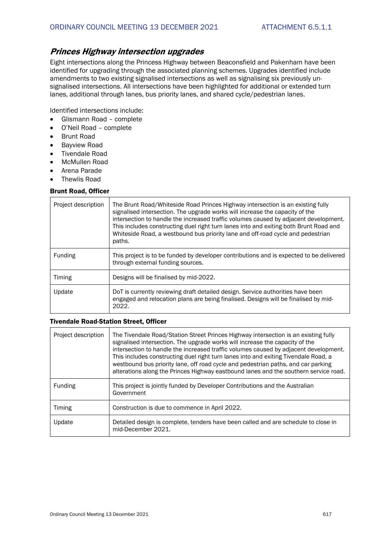## *Princes Highway intersection upgrades*

Eight intersections along the Princess Highway between Beaconsfield and Pakenham have been identified for upgrading through the associated planning schemes. Upgrades identified include amendments to two existing signalised intersections as well as signalising six previously unsignalised intersections. All intersections have been highlighted for additional or extended turn lanes, additional through lanes, bus priority lanes, and shared cycle/pedestrian lanes.

Identified intersections include:

- Glismann Road complete
- O'Neil Road complete
- Brunt Road
- Bayview Road
- Tivendale Road
- McMullen Road
- Arena Parade
- Thewlis Road

#### Brunt Road, Officer

| Project description | The Brunt Road/Whiteside Road Princes Highway intersection is an existing fully<br>signalised intersection. The upgrade works will increase the capacity of the<br>intersection to handle the increased traffic volumes caused by adjacent development.<br>This includes constructing duel right turn lanes into and exiting both Brunt Road and<br>Whiteside Road, a westbound bus priority lane and off-road cycle and pedestrian<br>paths. |
|---------------------|-----------------------------------------------------------------------------------------------------------------------------------------------------------------------------------------------------------------------------------------------------------------------------------------------------------------------------------------------------------------------------------------------------------------------------------------------|
| Funding             | This project is to be funded by developer contributions and is expected to be delivered<br>through external funding sources.                                                                                                                                                                                                                                                                                                                  |
| Timing              | Designs will be finalised by mid-2022.                                                                                                                                                                                                                                                                                                                                                                                                        |
| Update              | DoT is currently reviewing draft detailed design. Service authorities have been<br>engaged and relocation plans are being finalised. Designs will be finalised by mid-<br>2022.                                                                                                                                                                                                                                                               |

#### Tivendale Road-Station Street, Officer

| Project description | The Tivendale Road/Station Street Princes Highway intersection is an existing fully<br>signalised intersection. The upgrade works will increase the capacity of the<br>intersection to handle the increased traffic volumes caused by adjacent development.<br>This includes constructing duel right turn lanes into and exiting Tivendale Road, a<br>westbound bus priority lane, off road cycle and pedestrian paths, and car parking<br>alterations along the Princes Highway eastbound lanes and the southern service road. |
|---------------------|---------------------------------------------------------------------------------------------------------------------------------------------------------------------------------------------------------------------------------------------------------------------------------------------------------------------------------------------------------------------------------------------------------------------------------------------------------------------------------------------------------------------------------|
| Funding             | This project is jointly funded by Developer Contributions and the Australian<br>Government                                                                                                                                                                                                                                                                                                                                                                                                                                      |
| Timing              | Construction is due to commence in April 2022.                                                                                                                                                                                                                                                                                                                                                                                                                                                                                  |
| Update              | Detailed design is complete, tenders have been called and are schedule to close in<br>mid-December 2021.                                                                                                                                                                                                                                                                                                                                                                                                                        |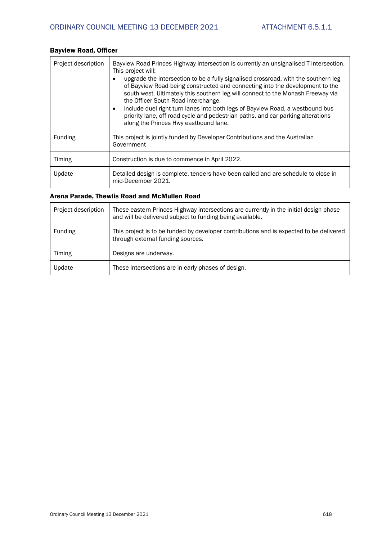| Project description | Bayview Road Princes Highway intersection is currently an unsignalised T-intersection.<br>This project will:<br>upgrade the intersection to be a fully signalised crossroad, with the southern leg<br>of Bayview Road being constructed and connecting into the development to the<br>south west. Ultimately this southern leg will connect to the Monash Freeway via<br>the Officer South Road interchange.<br>include duel right turn lanes into both legs of Bayview Road, a westbound bus<br>٠<br>priority lane, off road cycle and pedestrian paths, and car parking alterations<br>along the Princes Hwy eastbound lane. |
|---------------------|--------------------------------------------------------------------------------------------------------------------------------------------------------------------------------------------------------------------------------------------------------------------------------------------------------------------------------------------------------------------------------------------------------------------------------------------------------------------------------------------------------------------------------------------------------------------------------------------------------------------------------|
| <b>Funding</b>      | This project is jointly funded by Developer Contributions and the Australian<br>Government                                                                                                                                                                                                                                                                                                                                                                                                                                                                                                                                     |
| Timing              | Construction is due to commence in April 2022.                                                                                                                                                                                                                                                                                                                                                                                                                                                                                                                                                                                 |
| Update              | Detailed design is complete, tenders have been called and are schedule to close in<br>mid-December 2021.                                                                                                                                                                                                                                                                                                                                                                                                                                                                                                                       |

## Bayview Road, Officer

#### Arena Parade, Thewlis Road and McMullen Road

| Project description | These eastern Princes Highway intersections are currently in the initial design phase<br>and will be delivered subject to funding being available. |
|---------------------|----------------------------------------------------------------------------------------------------------------------------------------------------|
| Funding             | This project is to be funded by developer contributions and is expected to be delivered<br>through external funding sources.                       |
| Timing              | Designs are underway.                                                                                                                              |
| Update              | These intersections are in early phases of design.                                                                                                 |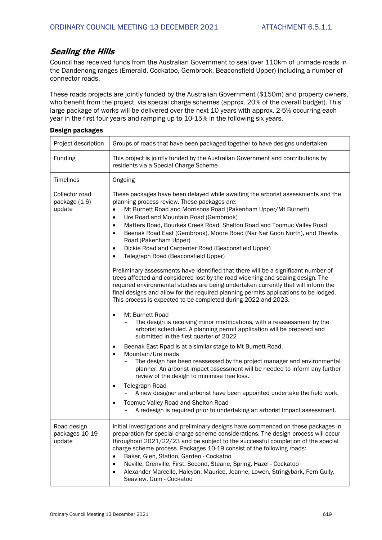## *Sealing the Hills*

Council has received funds from the Australian Government to seal over 110km of unmade roads in the Dandenong ranges (Emerald, Cockatoo, Gembrook, Beaconsfield Upper) including a number of connector roads.

These roads projects are jointly funded by the Australian Government (\$150m) and property owners, who benefit from the project, via special charge schemes (approx. 20% of the overall budget). This large package of works will be delivered over the next 10 years with approx. 2-5% occurring each year in the first four years and ramping up to 10-15% in the following six years.

| Project description                       | Groups of roads that have been packaged together to have designs undertaken                                                                                                                                                                                                                                                                                                                                                                                                                                                                                                                                                                                                                                                                                                                                                                                                                                                                                                                                                                                                                                                                                                                                                                                                                                                                                                                                                                                                                                                                                                                                                                                                                                                                                                                                                                |
|-------------------------------------------|--------------------------------------------------------------------------------------------------------------------------------------------------------------------------------------------------------------------------------------------------------------------------------------------------------------------------------------------------------------------------------------------------------------------------------------------------------------------------------------------------------------------------------------------------------------------------------------------------------------------------------------------------------------------------------------------------------------------------------------------------------------------------------------------------------------------------------------------------------------------------------------------------------------------------------------------------------------------------------------------------------------------------------------------------------------------------------------------------------------------------------------------------------------------------------------------------------------------------------------------------------------------------------------------------------------------------------------------------------------------------------------------------------------------------------------------------------------------------------------------------------------------------------------------------------------------------------------------------------------------------------------------------------------------------------------------------------------------------------------------------------------------------------------------------------------------------------------------|
| Funding                                   | This project is jointly funded by the Australian Government and contributions by<br>residents via a Special Charge Scheme                                                                                                                                                                                                                                                                                                                                                                                                                                                                                                                                                                                                                                                                                                                                                                                                                                                                                                                                                                                                                                                                                                                                                                                                                                                                                                                                                                                                                                                                                                                                                                                                                                                                                                                  |
| Timelines                                 | Ongoing                                                                                                                                                                                                                                                                                                                                                                                                                                                                                                                                                                                                                                                                                                                                                                                                                                                                                                                                                                                                                                                                                                                                                                                                                                                                                                                                                                                                                                                                                                                                                                                                                                                                                                                                                                                                                                    |
| Collector road<br>package (1-6)<br>update | These packages have been delayed while awaiting the arborist assessments and the<br>planning process review. These packages are:<br>$\bullet$<br>Mt Burnett Road and Morrisons Road (Pakenham Upper/Mt Burnett)<br>Ure Road and Mountain Road (Gembrook)<br>$\bullet$<br>Matters Road, Bourkes Creek Road, Shelton Road and Toomuc Valley Road<br>$\bullet$<br>Beenak Road East (Gembrook), Moore Road (Nar Nar Goon North), and Thewlis<br>$\bullet$<br>Road (Pakenham Upper)<br>Dickie Road and Carpenter Road (Beaconsfield Upper)<br>$\bullet$<br>Telegraph Road (Beaconsfield Upper)<br>$\bullet$<br>Preliminary assessments have identified that there will be a significant number of<br>trees affected and considered lost by the road widening and sealing design. The<br>required environmental studies are being undertaken currently that will inform the<br>final designs and allow for the required planning permits applications to be lodged.<br>This process is expected to be completed during 2022 and 2023.<br>Mt Burnett Road<br>$\bullet$<br>The design is receiving minor modifications, with a reassessment by the<br>arborist scheduled. A planning permit application will be prepared and<br>submitted in the first quarter of 2022<br>Beenak East Rpad is at a similar stage to Mt Burnett Road.<br>$\bullet$<br>Mountain/Ure roads<br>$\bullet$<br>The design has been reassessed by the project manager and environmental<br>planner. An arborist impact assessment will be needed to inform any further<br>review of the design to minimise tree loss.<br><b>Telegraph Road</b><br>$\bullet$<br>A new designer and arborist have been appointed undertake the field work.<br>Toomuc Valley Road and Shelton Road<br>$\bullet$<br>A redesign is required prior to undertaking an arborist Impact assessment. |
| Road design<br>packages 10-19<br>update   | Initial investigations and preliminary designs have commenced on these packages in<br>preparation for special charge scheme considerations. The design process will occur<br>throughout 2021/22/23 and be subject to the successful completion of the special<br>charge scheme process. Packages 10-19 consist of the following roads:<br>Baker, Glen, Station, Garden - Cockatoo<br>$\bullet$<br>Neville, Grenville, First, Second, Steane, Spring, Hazel - Cockatoo<br>$\bullet$<br>Alexander Marcelle, Halcyon, Maurice, Jeanne, Lowen, Stringybark, Fern Gully,<br>$\bullet$<br>Seaview, Gum - Cockatoo                                                                                                                                                                                                                                                                                                                                                                                                                                                                                                                                                                                                                                                                                                                                                                                                                                                                                                                                                                                                                                                                                                                                                                                                                                |

#### Design packages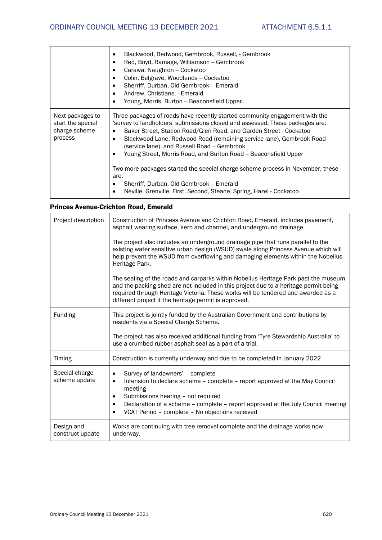|                                                                   | Blackwood, Redwood, Gembrook, Russell, - Gembrook<br>Red, Boyd, Ramage, Williamson – Gembrook<br>٠<br>Carawa, Naughton - Cockatoo<br>٠<br>Colin, Belgrave, Woodlands - Cockatoo<br>Sherriff, Durban, Old Gembrook - Emerald<br>Andrew, Christians, - Emerald<br>٠<br>Young, Morris, Burton - Beaconsfield Upper.<br>$\bullet$                                                                                                                                                                                                                                                                                                                         |
|-------------------------------------------------------------------|-------------------------------------------------------------------------------------------------------------------------------------------------------------------------------------------------------------------------------------------------------------------------------------------------------------------------------------------------------------------------------------------------------------------------------------------------------------------------------------------------------------------------------------------------------------------------------------------------------------------------------------------------------|
| Next packages to<br>start the special<br>charge scheme<br>process | Three packages of roads have recently started community engagement with the<br>'survey to landholders' submissions closed and assessed. These packages are:<br>Baker Street, Station Road/Glen Road, and Garden Street - Cockatoo<br>$\bullet$<br>Blackwood Lane, Redwood Road (remaining service lane), Gembrook Road<br>(service lane), and Russell Road – Gembrook<br>Young Street, Morris Road, and Burton Road – Beaconsfield Upper<br>Two more packages started the special charge scheme process in November, these<br>are:<br>Sherriff, Durban, Old Gembrook - Emerald<br>Neville, Grenville, First, Second, Steane, Spring, Hazel - Cockatoo |

## Princes Avenue-Crichton Road, Emerald

| Project description             | Construction of Princess Avenue and Crichton Road, Emerald, includes pavement,<br>asphalt wearing surface, kerb and channel, and underground drainage.                                                                                                                                                                                                           |
|---------------------------------|------------------------------------------------------------------------------------------------------------------------------------------------------------------------------------------------------------------------------------------------------------------------------------------------------------------------------------------------------------------|
|                                 | The project also includes an underground drainage pipe that runs parallel to the<br>existing water sensitive urban design (WSUD) swale along Princess Avenue which will<br>help prevent the WSUD from overflowing and damaging elements within the Nobelius<br>Heritage Park.                                                                                    |
|                                 | The sealing of the roads and carparks within Nobelius Heritage Park past the museum<br>and the packing shed are not included in this project due to a heritage permit being<br>required through Heritage Victoria. These works will be tendered and awarded as a<br>different project if the heritage permit is approved.                                        |
| Funding                         | This project is jointly funded by the Australian Government and contributions by<br>residents via a Special Charge Scheme.                                                                                                                                                                                                                                       |
|                                 | The project has also received additional funding from 'Tyre Stewardship Australia' to<br>use a crumbed rubber asphalt seal as a part of a trial.                                                                                                                                                                                                                 |
| Timing                          | Construction is currently underway and due to be completed in January 2022                                                                                                                                                                                                                                                                                       |
| Special charge<br>scheme update | Survey of landowners' - complete<br>$\bullet$<br>Intension to declare scheme - complete - report approved at the May Council<br>$\bullet$<br>meeting<br>Submissions hearing - not required<br>٠<br>Declaration of a scheme - complete - report approved at the July Council meeting<br>$\bullet$<br>VCAT Period - complete - No objections received<br>$\bullet$ |
| Design and<br>construct update  | Works are continuing with tree removal complete and the drainage works now<br>underway.                                                                                                                                                                                                                                                                          |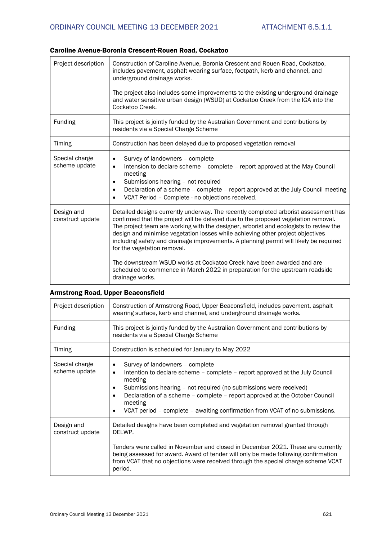## Caroline Avenue-Boronia Crescent-Rouen Road, Cockatoo

| underground drainage works.                                                                                                                                                                                                                                                                                                                                                                                                                                                                                                                                                                                                           |
|---------------------------------------------------------------------------------------------------------------------------------------------------------------------------------------------------------------------------------------------------------------------------------------------------------------------------------------------------------------------------------------------------------------------------------------------------------------------------------------------------------------------------------------------------------------------------------------------------------------------------------------|
| The project also includes some improvements to the existing underground drainage<br>and water sensitive urban design (WSUD) at Cockatoo Creek from the IGA into the<br>Cockatoo Creek.                                                                                                                                                                                                                                                                                                                                                                                                                                                |
| This project is jointly funded by the Australian Government and contributions by<br>residents via a Special Charge Scheme                                                                                                                                                                                                                                                                                                                                                                                                                                                                                                             |
| Construction has been delayed due to proposed vegetation removal                                                                                                                                                                                                                                                                                                                                                                                                                                                                                                                                                                      |
| Survey of landowners - complete<br>$\bullet$<br>Intension to declare scheme - complete - report approved at the May Council<br>$\bullet$<br>meeting<br>Submissions hearing - not required<br>$\bullet$<br>Declaration of a scheme - complete - report approved at the July Council meeting<br>$\bullet$<br>VCAT Period - Complete - no objections received.<br>$\bullet$                                                                                                                                                                                                                                                              |
| Detailed designs currently underway. The recently completed arborist assessment has<br>confirmed that the project will be delayed due to the proposed vegetation removal.<br>The project team are working with the designer, arborist and ecologists to review the<br>design and minimise vegetation losses while achieving other project objectives<br>including safety and drainage improvements. A planning permit will likely be required<br>for the vegetation removal.<br>The downstream WSUD works at Cockatoo Creek have been awarded and are<br>scheduled to commence in March 2022 in preparation for the upstream roadside |
| drainage works.                                                                                                                                                                                                                                                                                                                                                                                                                                                                                                                                                                                                                       |

## Armstrong Road, Upper Beaconsfield

| Project description             | Construction of Armstrong Road, Upper Beaconsfield, includes pavement, asphalt<br>wearing surface, kerb and channel, and underground drainage works.                                                                                                                                                                                                                                                            |
|---------------------------------|-----------------------------------------------------------------------------------------------------------------------------------------------------------------------------------------------------------------------------------------------------------------------------------------------------------------------------------------------------------------------------------------------------------------|
| <b>Funding</b>                  | This project is jointly funded by the Australian Government and contributions by<br>residents via a Special Charge Scheme                                                                                                                                                                                                                                                                                       |
| <b>Timing</b>                   | Construction is scheduled for January to May 2022                                                                                                                                                                                                                                                                                                                                                               |
| Special charge<br>scheme update | Survey of landowners - complete<br>$\bullet$<br>Intention to declare scheme – complete – report approved at the July Council<br>$\bullet$<br>meeting<br>Submissions hearing – not required (no submissions were received)<br>$\bullet$<br>Declaration of a scheme – complete – report approved at the October Council<br>meeting<br>VCAT period – complete – awaiting confirmation from VCAT of no submissions. |
| Design and<br>construct update  | Detailed designs have been completed and vegetation removal granted through<br>DELWP.<br>Tenders were called in November and closed in December 2021. These are currently<br>being assessed for award. Award of tender will only be made following confirmation                                                                                                                                                 |
|                                 | from VCAT that no objections were received through the special charge scheme VCAT<br>period.                                                                                                                                                                                                                                                                                                                    |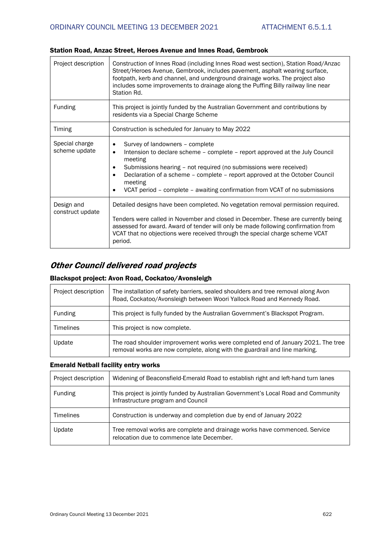| Project description             | Construction of Innes Road (including Innes Road west section), Station Road/Anzac<br>Street/Heroes Avenue, Gembrook, includes pavement, asphalt wearing surface,<br>footpath, kerb and channel, and underground drainage works. The project also<br>includes some improvements to drainage along the Puffing Billy railway line near<br>Station Rd.                                                                             |
|---------------------------------|----------------------------------------------------------------------------------------------------------------------------------------------------------------------------------------------------------------------------------------------------------------------------------------------------------------------------------------------------------------------------------------------------------------------------------|
| <b>Funding</b>                  | This project is jointly funded by the Australian Government and contributions by<br>residents via a Special Charge Scheme                                                                                                                                                                                                                                                                                                        |
| <b>Timing</b>                   | Construction is scheduled for January to May 2022                                                                                                                                                                                                                                                                                                                                                                                |
| Special charge<br>scheme update | Survey of landowners - complete<br>$\bullet$<br>Intension to declare scheme – complete – report approved at the July Council<br>$\bullet$<br>meeting<br>Submissions hearing - not required (no submissions were received)<br>$\bullet$<br>Declaration of a scheme - complete - report approved at the October Council<br>$\bullet$<br>meeting<br>VCAT period - complete - awaiting confirmation from VCAT of no submissions<br>٠ |
| Design and<br>construct update  | Detailed designs have been completed. No vegetation removal permission required.<br>Tenders were called in November and closed in December. These are currently being<br>assessed for award. Award of tender will only be made following confirmation from<br>VCAT that no objections were received through the special charge scheme VCAT<br>period.                                                                            |

## Station Road, Anzac Street, Heroes Avenue and Innes Road, Gembrook

## *Other Council delivered road projects*

## Blackspot project: Avon Road, Cockatoo/Avonsleigh

| Project description | The installation of safety barriers, sealed shoulders and tree removal along Avon<br>Road, Cockatoo/Avonsleigh between Woori Yallock Road and Kennedy Road.    |
|---------------------|----------------------------------------------------------------------------------------------------------------------------------------------------------------|
| Funding             | This project is fully funded by the Australian Government's Blackspot Program.                                                                                 |
| <b>Timelines</b>    | This project is now complete.                                                                                                                                  |
| Update              | The road shoulder improvement works were completed end of January 2021. The tree<br>removal works are now complete, along with the guardrail and line marking. |

## Emerald Netball facility entry works

| Project description | Widening of Beaconsfield-Emerald Road to establish right and left-hand turn lanes                                        |
|---------------------|--------------------------------------------------------------------------------------------------------------------------|
| Funding             | This project is jointly funded by Australian Government's Local Road and Community<br>Infrastructure program and Council |
| <b>Timelines</b>    | Construction is underway and completion due by end of January 2022                                                       |
| Update              | Tree removal works are complete and drainage works have commenced. Service<br>relocation due to commence late December.  |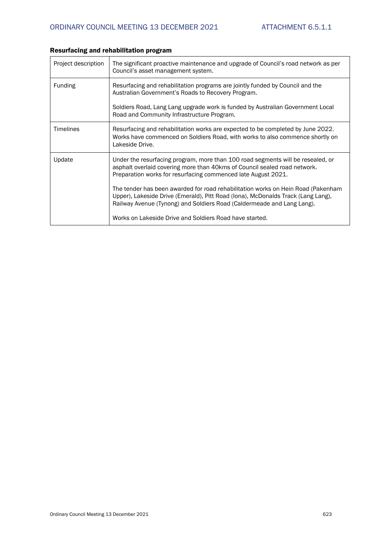| Project description | The significant proactive maintenance and upgrade of Council's road network as per<br>Council's asset management system.                                                                                                                       |
|---------------------|------------------------------------------------------------------------------------------------------------------------------------------------------------------------------------------------------------------------------------------------|
| <b>Funding</b>      | Resurfacing and rehabilitation programs are jointly funded by Council and the<br>Australian Government's Roads to Recovery Program.                                                                                                            |
|                     | Soldiers Road, Lang Lang upgrade work is funded by Australian Government Local<br>Road and Community Infrastructure Program.                                                                                                                   |
| Timelines           | Resurfacing and rehabilitation works are expected to be completed by June 2022.<br>Works have commenced on Soldiers Road, with works to also commence shortly on<br>Lakeside Drive.                                                            |
| Update              | Under the resurfacing program, more than 100 road segments will be resealed, or<br>asphalt overlaid covering more than 40kms of Council sealed road network.<br>Preparation works for resurfacing commenced late August 2021.                  |
|                     | The tender has been awarded for road rehabilitation works on Hein Road (Pakenham<br>Upper), Lakeside Drive (Emerald), Pitt Road (Iona), McDonalds Track (Lang Lang),<br>Railway Avenue (Tynong) and Soldiers Road (Caldermeade and Lang Lang). |
|                     | Works on Lakeside Drive and Soldiers Road have started.                                                                                                                                                                                        |

## Resurfacing and rehabilitation program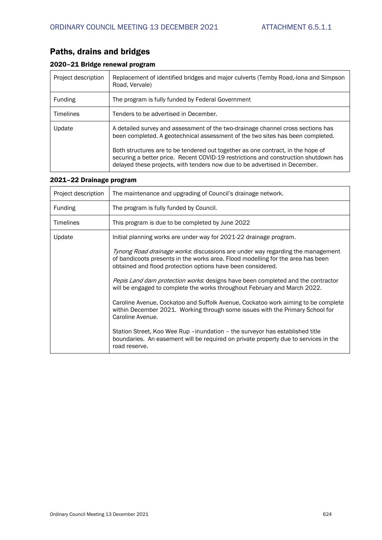## Paths, drains and bridges

## 2020–21 Bridge renewal program

| Project description | Replacement of identified bridges and major culverts (Temby Road,-Iona and Simpson<br>Road, Vervale)                                                                                                                                                 |
|---------------------|------------------------------------------------------------------------------------------------------------------------------------------------------------------------------------------------------------------------------------------------------|
| <b>Funding</b>      | The program is fully funded by Federal Government                                                                                                                                                                                                    |
| <b>Timelines</b>    | Tenders to be advertised in December.                                                                                                                                                                                                                |
| Update              | A detailed survey and assessment of the two-drainage channel cross sections has<br>been completed. A geotechnical assessment of the two sites has been completed.                                                                                    |
|                     | Both structures are to be tendered out together as one contract, in the hope of<br>securing a better price. Recent COVID-19 restrictions and construction shutdown has<br>delayed these projects, with tenders now due to be advertised in December. |

## 2021–22 Drainage program

| Project description | The maintenance and upgrading of Council's drainage network.                                                                                                                                                                             |
|---------------------|------------------------------------------------------------------------------------------------------------------------------------------------------------------------------------------------------------------------------------------|
| <b>Funding</b>      | The program is fully funded by Council.                                                                                                                                                                                                  |
| <b>Timelines</b>    | This program is due to be completed by June 2022                                                                                                                                                                                         |
| Update              | Initial planning works are under way for 2021-22 drainage program.                                                                                                                                                                       |
|                     | <i>Tynong Road drainage works</i> : discussions are under way regarding the management<br>of bandicoots presents in the works area. Flood modelling for the area has been<br>obtained and flood protection options have been considered. |
|                     | <i>Pepis Land dam protection works</i> : designs have been completed and the contractor<br>will be engaged to complete the works throughout February and March 2022.                                                                     |
|                     | Caroline Avenue, Cockatoo and Suffolk Avenue, Cockatoo work aiming to be complete<br>within December 2021. Working through some issues with the Primary School for<br>Caroline Avenue.                                                   |
|                     | Station Street, Koo Wee Rup – inundation – the surveyor has established title<br>boundaries. An easement will be required on private property due to services in the<br>road reserve.                                                    |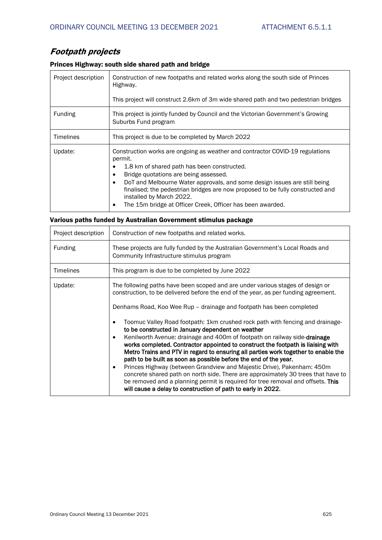## *Footpath projects*

## Princes Highway: south side shared path and bridge

| Project description | Construction of new footpaths and related works along the south side of Princes<br>Highway.<br>This project will construct 2.6km of 3m wide shared path and two pedestrian bridges                                                                                                                                                                                                                                                             |
|---------------------|------------------------------------------------------------------------------------------------------------------------------------------------------------------------------------------------------------------------------------------------------------------------------------------------------------------------------------------------------------------------------------------------------------------------------------------------|
| Funding             | This project is jointly funded by Council and the Victorian Government's Growing<br>Suburbs Fund program                                                                                                                                                                                                                                                                                                                                       |
| <b>Timelines</b>    | This project is due to be completed by March 2022                                                                                                                                                                                                                                                                                                                                                                                              |
| Update:             | Construction works are ongoing as weather and contractor COVID-19 regulations<br>permit.<br>1.8 km of shared path has been constructed.<br>Bridge quotations are being assessed.<br>DoT and Melbourne Water approvals, and some design issues are still being<br>finalised; the pedestrian bridges are now proposed to be fully constructed and<br>installed by March 2022.<br>The 15m bridge at Officer Creek, Officer has been awarded.<br>٠ |

### Various paths funded by Australian Government stimulus package

| Project description | Construction of new footpaths and related works.                                                                                                                                                                                                                                                                                                                                                                                                                                                                                                                                                                                                                                                                                                                                                                                                                                                                                                                                                                                                                |
|---------------------|-----------------------------------------------------------------------------------------------------------------------------------------------------------------------------------------------------------------------------------------------------------------------------------------------------------------------------------------------------------------------------------------------------------------------------------------------------------------------------------------------------------------------------------------------------------------------------------------------------------------------------------------------------------------------------------------------------------------------------------------------------------------------------------------------------------------------------------------------------------------------------------------------------------------------------------------------------------------------------------------------------------------------------------------------------------------|
| <b>Funding</b>      | These projects are fully funded by the Australian Government's Local Roads and<br>Community Infrastructure stimulus program                                                                                                                                                                                                                                                                                                                                                                                                                                                                                                                                                                                                                                                                                                                                                                                                                                                                                                                                     |
| <b>Timelines</b>    | This program is due to be completed by June 2022                                                                                                                                                                                                                                                                                                                                                                                                                                                                                                                                                                                                                                                                                                                                                                                                                                                                                                                                                                                                                |
| Update:             | The following paths have been scoped and are under various stages of design or<br>construction, to be delivered before the end of the year, as per funding agreement.<br>Denhams Road, Koo Wee Rup – drainage and footpath has been completed<br>Toomuc Valley Road footpath: 1km crushed rock path with fencing and drainage-<br>$\bullet$<br>to be constructed in January dependent on weather<br>Kenilworth Avenue: drainage and 400m of footpath on railway side-drainage<br>$\bullet$<br>works completed. Contractor appointed to construct the footpath is liaising with<br>Metro Trains and PTV in regard to ensuring all parties work together to enable the<br>path to be built as soon as possible before the end of the year.<br>Princes Highway (between Grandview and Majestic Drive), Pakenham: 450m<br>٠<br>concrete shared path on north side. There are approximately 30 trees that have to<br>be removed and a planning permit is required for tree removal and offsets. This<br>will cause a delay to construction of path to early in 2022. |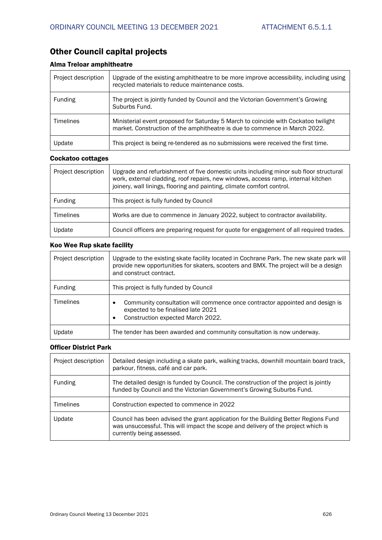## Other Council capital projects

## Alma Treloar amphitheatre

| Project description | Upgrade of the existing amphitheatre to be more improve accessibility, including using<br>recycled materials to reduce maintenance costs.                        |
|---------------------|------------------------------------------------------------------------------------------------------------------------------------------------------------------|
| Funding             | The project is jointly funded by Council and the Victorian Government's Growing<br>Suburbs Fund.                                                                 |
| <b>Timelines</b>    | Ministerial event proposed for Saturday 5 March to coincide with Cockatoo twilight<br>market. Construction of the amphitheatre is due to commence in March 2022. |
| Update              | This project is being re-tendered as no submissions were received the first time.                                                                                |

#### Cockatoo cottages

| Project description | Upgrade and refurbishment of five domestic units including minor sub floor structural<br>work, external cladding, roof repairs, new windows, access ramp, internal kitchen<br>joinery, wall linings, flooring and painting, climate comfort control. |
|---------------------|------------------------------------------------------------------------------------------------------------------------------------------------------------------------------------------------------------------------------------------------------|
| <b>Funding</b>      | This project is fully funded by Council                                                                                                                                                                                                              |
| <b>Timelines</b>    | Works are due to commence in January 2022, subject to contractor availability.                                                                                                                                                                       |
| Update              | Council officers are preparing request for quote for engagement of all required trades.                                                                                                                                                              |

#### Koo Wee Rup skate facility

| Project description | Upgrade to the existing skate facility located in Cochrane Park. The new skate park will<br>provide new opportunities for skaters, scooters and BMX. The project will be a design<br>and construct contract. |
|---------------------|--------------------------------------------------------------------------------------------------------------------------------------------------------------------------------------------------------------|
| <b>Funding</b>      | This project is fully funded by Council                                                                                                                                                                      |
| <b>Timelines</b>    | Community consultation will commence once contractor appointed and design is<br>$\bullet$<br>expected to be finalised late 2021<br>Construction expected March 2022.<br>$\bullet$                            |
| Update              | The tender has been awarded and community consultation is now underway.                                                                                                                                      |

#### Officer District Park

| Project description | Detailed design including a skate park, walking tracks, downhill mountain board track,<br>parkour, fitness, café and car park.                                                                        |
|---------------------|-------------------------------------------------------------------------------------------------------------------------------------------------------------------------------------------------------|
| Funding             | The detailed design is funded by Council. The construction of the project is jointly<br>funded by Council and the Victorian Government's Growing Suburbs Fund.                                        |
| <b>Timelines</b>    | Construction expected to commence in 2022                                                                                                                                                             |
| Update              | Council has been advised the grant application for the Building Better Regions Fund<br>was unsuccessful. This will impact the scope and delivery of the project which is<br>currently being assessed. |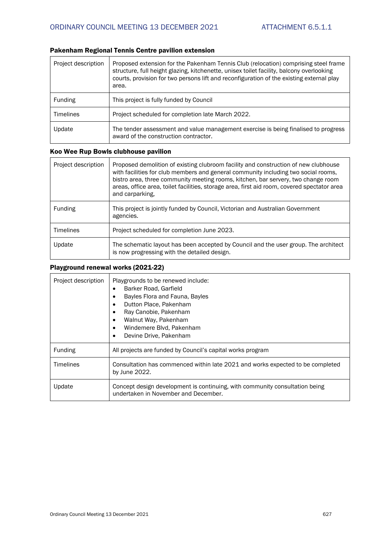## Pakenham Regional Tennis Centre pavilion extension

| Project description | Proposed extension for the Pakenham Tennis Club (relocation) comprising steel frame<br>structure, full height glazing, kitchenette, unisex toilet facility, balcony overlooking<br>courts, provision for two persons lift and reconfiguration of the existing external play<br>area. |
|---------------------|--------------------------------------------------------------------------------------------------------------------------------------------------------------------------------------------------------------------------------------------------------------------------------------|
| <b>Funding</b>      | This project is fully funded by Council                                                                                                                                                                                                                                              |
| <b>Timelines</b>    | Project scheduled for completion late March 2022.                                                                                                                                                                                                                                    |
| Update              | The tender assessment and value management exercise is being finalised to progress<br>award of the construction contractor.                                                                                                                                                          |

## Koo Wee Rup Bowls clubhouse pavilion

| Project description | Proposed demolition of existing clubroom facility and construction of new clubhouse<br>with facilities for club members and general community including two social rooms,<br>bistro area, three community meeting rooms, kitchen, bar servery, two change room<br>areas, office area, toilet facilities, storage area, first aid room, covered spectator area<br>and carparking. |
|---------------------|----------------------------------------------------------------------------------------------------------------------------------------------------------------------------------------------------------------------------------------------------------------------------------------------------------------------------------------------------------------------------------|
| Funding             | This project is jointly funded by Council, Victorian and Australian Government<br>agencies.                                                                                                                                                                                                                                                                                      |
| <b>Timelines</b>    | Project scheduled for completion June 2023.                                                                                                                                                                                                                                                                                                                                      |
| Update              | The schematic layout has been accepted by Council and the user group. The architect<br>is now progressing with the detailed design.                                                                                                                                                                                                                                              |

## Playground renewal works (2021-22)

| Project description | Playgrounds to be renewed include:<br>Barker Road, Garfield<br>$\bullet$<br>Bayles Flora and Fauna, Bayles<br>٠<br>Dutton Place, Pakenham<br>Ray Canobie, Pakenham<br>٠<br>Walnut Way, Pakenham<br>$\bullet$<br>Windemere Blvd, Pakenham<br>$\bullet$<br>Devine Drive, Pakenham<br>٠ |
|---------------------|--------------------------------------------------------------------------------------------------------------------------------------------------------------------------------------------------------------------------------------------------------------------------------------|
| Funding             | All projects are funded by Council's capital works program                                                                                                                                                                                                                           |
| <b>Timelines</b>    | Consultation has commenced within late 2021 and works expected to be completed<br>by June 2022.                                                                                                                                                                                      |
| Update              | Concept design development is continuing, with community consultation being<br>undertaken in November and December.                                                                                                                                                                  |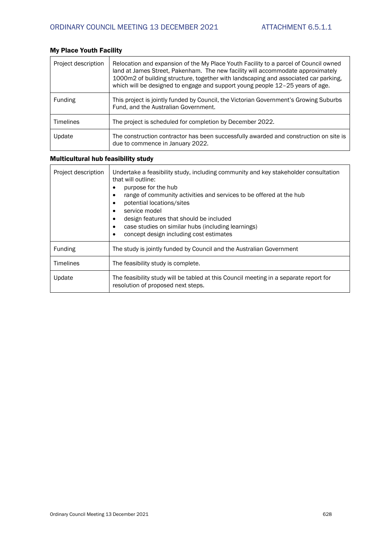| Project description | Relocation and expansion of the My Place Youth Facility to a parcel of Council owned<br>land at James Street, Pakenham. The new facility will accommodate approximately<br>1000m2 of building structure, together with landscaping and associated car parking,<br>which will be designed to engage and support young people 12-25 years of age. |
|---------------------|-------------------------------------------------------------------------------------------------------------------------------------------------------------------------------------------------------------------------------------------------------------------------------------------------------------------------------------------------|
| <b>Funding</b>      | This project is jointly funded by Council, the Victorian Government's Growing Suburbs<br>Fund, and the Australian Government.                                                                                                                                                                                                                   |
| <b>Timelines</b>    | The project is scheduled for completion by December 2022.                                                                                                                                                                                                                                                                                       |
| Update              | The construction contractor has been successfully awarded and construction on site is<br>due to commence in January 2022.                                                                                                                                                                                                                       |

## My Place Youth Facility

## Multicultural hub feasibility study

| Project description | Undertake a feasibility study, including community and key stakeholder consultation<br>that will outline:<br>purpose for the hub<br>range of community activities and services to be offered at the hub<br>potential locations/sites<br>service model<br>design features that should be included<br>case studies on similar hubs (including learnings)<br>concept design including cost estimates |
|---------------------|---------------------------------------------------------------------------------------------------------------------------------------------------------------------------------------------------------------------------------------------------------------------------------------------------------------------------------------------------------------------------------------------------|
| Funding             | The study is jointly funded by Council and the Australian Government                                                                                                                                                                                                                                                                                                                              |
| <b>Timelines</b>    | The feasibility study is complete.                                                                                                                                                                                                                                                                                                                                                                |
| Update              | The feasibility study will be tabled at this Council meeting in a separate report for<br>resolution of proposed next steps.                                                                                                                                                                                                                                                                       |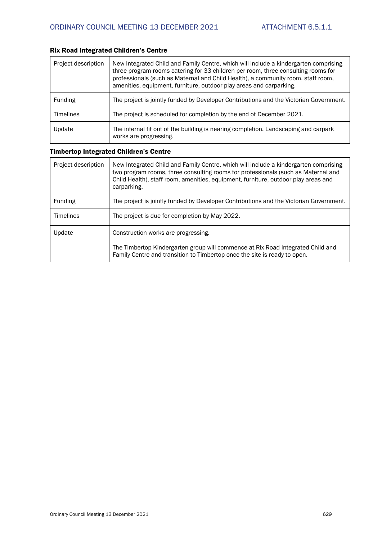## Rix Road Integrated Children's Centre

| Project description | New Integrated Child and Family Centre, which will include a kindergarten comprising<br>three program rooms catering for 33 children per room, three consulting rooms for<br>professionals (such as Maternal and Child Health), a community room, staff room,<br>amenities, equipment, furniture, outdoor play areas and carparking. |
|---------------------|--------------------------------------------------------------------------------------------------------------------------------------------------------------------------------------------------------------------------------------------------------------------------------------------------------------------------------------|
| Funding             | The project is jointly funded by Developer Contributions and the Victorian Government.                                                                                                                                                                                                                                               |
| <b>Timelines</b>    | The project is scheduled for completion by the end of December 2021.                                                                                                                                                                                                                                                                 |
| Update              | The internal fit out of the building is nearing completion. Landscaping and carpark<br>works are progressing.                                                                                                                                                                                                                        |

## Timbertop Integrated Children's Centre

| Project description | New Integrated Child and Family Centre, which will include a kindergarten comprising<br>two program rooms, three consulting rooms for professionals (such as Maternal and<br>Child Health), staff room, amenities, equipment, furniture, outdoor play areas and<br>carparking. |
|---------------------|--------------------------------------------------------------------------------------------------------------------------------------------------------------------------------------------------------------------------------------------------------------------------------|
| Funding             | The project is jointly funded by Developer Contributions and the Victorian Government.                                                                                                                                                                                         |
| <b>Timelines</b>    | The project is due for completion by May 2022.                                                                                                                                                                                                                                 |
| Update              | Construction works are progressing.                                                                                                                                                                                                                                            |
|                     | The Timbertop Kindergarten group will commence at Rix Road Integrated Child and<br>Family Centre and transition to Timbertop once the site is ready to open.                                                                                                                   |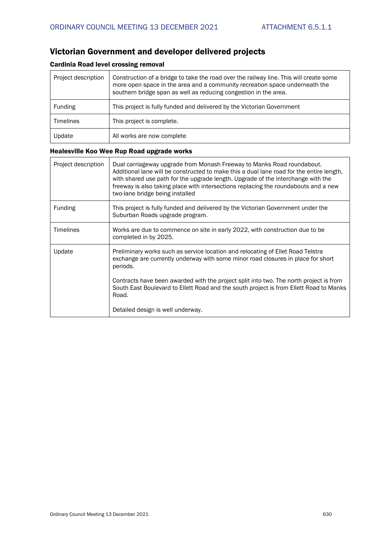## Victorian Government and developer delivered projects

## Cardinia Road level crossing removal

| Project description | Construction of a bridge to take the road over the railway line. This will create some<br>more open space in the area and a community recreation space underneath the<br>southern bridge span as well as reducing congestion in the area. |
|---------------------|-------------------------------------------------------------------------------------------------------------------------------------------------------------------------------------------------------------------------------------------|
| Funding             | This project is fully funded and delivered by the Victorian Government                                                                                                                                                                    |
| <b>Timelines</b>    | This project is complete.                                                                                                                                                                                                                 |
| Update              | All works are now complete                                                                                                                                                                                                                |

## Healesville Koo Wee Rup Road upgrade works

| Project description | Dual carriageway upgrade from Monash Freeway to Manks Road roundabout.<br>Additional lane will be constructed to make this a dual lane road for the entire length,<br>with shared use path for the upgrade length. Upgrade of the interchange with the<br>freeway is also taking place with intersections replacing the roundabouts and a new<br>two-lane bridge being installed |
|---------------------|----------------------------------------------------------------------------------------------------------------------------------------------------------------------------------------------------------------------------------------------------------------------------------------------------------------------------------------------------------------------------------|
| Funding             | This project is fully funded and delivered by the Victorian Government under the<br>Suburban Roads upgrade program.                                                                                                                                                                                                                                                              |
| <b>Timelines</b>    | Works are due to commence on site in early 2022, with construction due to be<br>completed in by 2025.                                                                                                                                                                                                                                                                            |
| Update              | Preliminary works such as service location and relocating of Ellet Road Telstra<br>exchange are currently underway with some minor road closures in place for short<br>periods.                                                                                                                                                                                                  |
|                     | Contracts have been awarded with the project split into two. The north project is from<br>South East Boulevard to Ellett Road and the south project is from Ellett Road to Manks<br>Road.                                                                                                                                                                                        |
|                     | Detailed design is well underway.                                                                                                                                                                                                                                                                                                                                                |